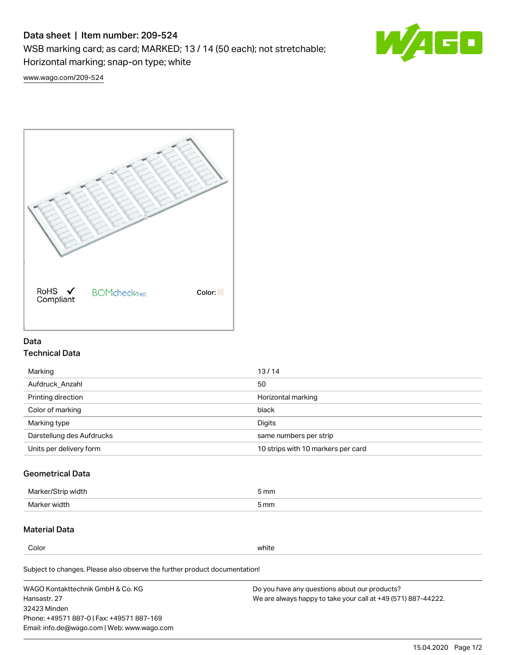# Data sheet | Item number: 209-524

WSB marking card; as card; MARKED; 13 / 14 (50 each); not stretchable;

Horizontal marking; snap-on type; white



[www.wago.com/209-524](http://www.wago.com/209-524)



### Data Technical Data

| 13/14                              |
|------------------------------------|
| 50                                 |
| Horizontal marking                 |
| black                              |
| Digits                             |
| same numbers per strip             |
| 10 strips with 10 markers per card |
|                                    |

## Geometrical Data

| width        | i mm |
|--------------|------|
| Marker/      | -    |
| Marker width | 5 mm |

## Material Data

Color white

Subject to changes. Please also observe the further product documentation!

WAGO Kontakttechnik GmbH & Co. KG Hansastr. 27 32423 Minden Phone: +49571 887-0 | Fax: +49571 887-169 Email: info.de@wago.com | Web: www.wago.com Do you have any questions about our products? We are always happy to take your call at +49 (571) 887-44222.